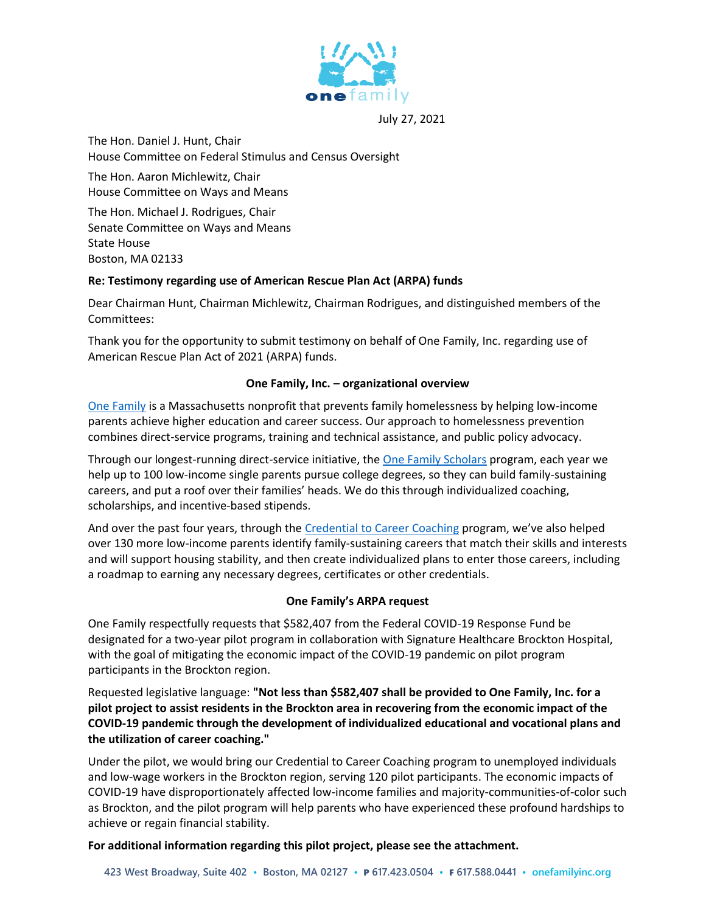

July 27, 2021

The Hon. Daniel J. Hunt, Chair House Committee on Federal Stimulus and Census Oversight

The Hon. Aaron Michlewitz, Chair House Committee on Ways and Means

The Hon. Michael J. Rodrigues, Chair Senate Committee on Ways and Means State House Boston, MA 02133

# **Re: Testimony regarding use of American Rescue Plan Act (ARPA) funds**

Dear Chairman Hunt, Chairman Michlewitz, Chairman Rodrigues, and distinguished members of the Committees:

Thank you for the opportunity to submit testimony on behalf of One Family, Inc. regarding use of American Rescue Plan Act of 2021 (ARPA) funds.

# **One Family, Inc. – organizational overview**

[One Family](https://www.onefamilyinc.org/) is a Massachusetts nonprofit that prevents family homelessness by helping low-income parents achieve higher education and career success. Our approach to homelessness prevention combines direct-service programs, training and technical assistance, and public policy advocacy.

Through our longest-running direct-service initiative, the [One Family Scholars](https://www.onefamilyinc.org/scholars) program, each year we help up to 100 low-income single parents pursue college degrees, so they can build family-sustaining careers, and put a roof over their families' heads. We do this through individualized coaching, scholarships, and incentive-based stipends.

And over the past four years, through the [Credential to Career Coaching](https://www.onefamilyinc.org/c2c) program, we've also helped over 130 more low-income parents identify family-sustaining careers that match their skills and interests and will support housing stability, and then create individualized plans to enter those careers, including a roadmap to earning any necessary degrees, certificates or other credentials.

# **One Family's ARPA request**

One Family respectfully requests that \$582,407 from the Federal COVID-19 Response Fund be designated for a two-year pilot program in collaboration with Signature Healthcare Brockton Hospital, with the goal of mitigating the economic impact of the COVID-19 pandemic on pilot program participants in the Brockton region.

Requested legislative language: **"Not less than \$582,407 shall be provided to One Family, Inc. for a pilot project to assist residents in the Brockton area in recovering from the economic impact of the COVID-19 pandemic through the development of individualized educational and vocational plans and the utilization of career coaching."**

Under the pilot, we would bring our Credential to Career Coaching program to unemployed individuals and low-wage workers in the Brockton region, serving 120 pilot participants. The economic impacts of COVID-19 have disproportionately affected low-income families and majority-communities-of-color such as Brockton, and the pilot program will help parents who have experienced these profound hardships to achieve or regain financial stability.

**For additional information regarding this pilot project, please see the attachment.**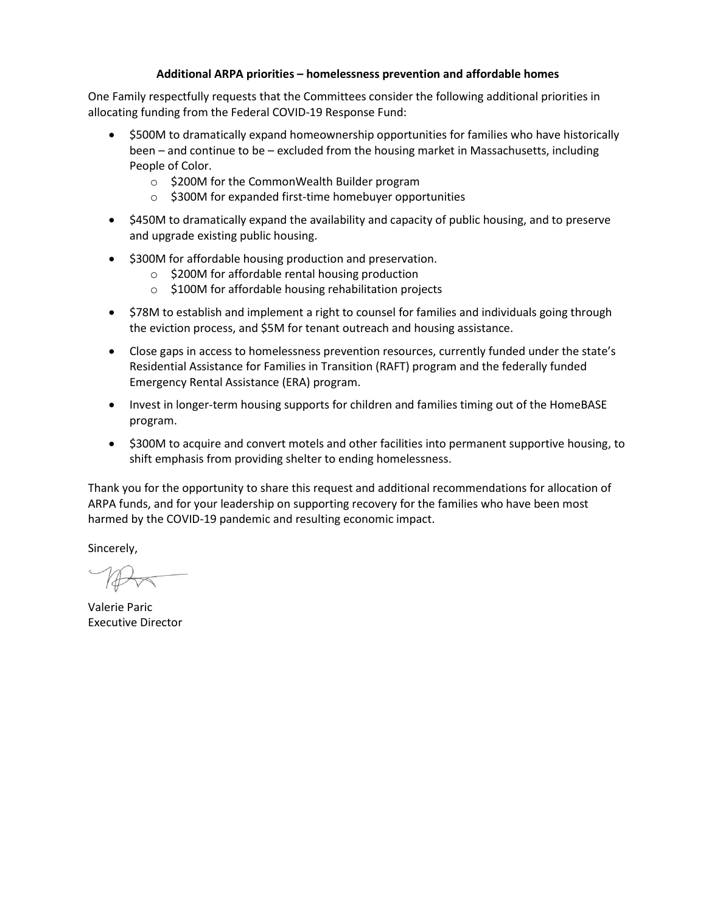#### **Additional ARPA priorities – homelessness prevention and affordable homes**

One Family respectfully requests that the Committees consider the following additional priorities in allocating funding from the Federal COVID-19 Response Fund:

- \$500M to dramatically expand homeownership opportunities for families who have historically been – and continue to be – excluded from the housing market in Massachusetts, including People of Color.
	- o \$200M for the CommonWealth Builder program
	- o \$300M for expanded first-time homebuyer opportunities
- \$450M to dramatically expand the availability and capacity of public housing, and to preserve and upgrade existing public housing.
- \$300M for affordable housing production and preservation.
	- o \$200M for affordable rental housing production
	- o \$100M for affordable housing rehabilitation projects
- \$78M to establish and implement a right to counsel for families and individuals going through the eviction process, and \$5M for tenant outreach and housing assistance.
- Close gaps in access to homelessness prevention resources, currently funded under the state's Residential Assistance for Families in Transition (RAFT) program and the federally funded Emergency Rental Assistance (ERA) program.
- Invest in longer-term housing supports for children and families timing out of the HomeBASE program.
- \$300M to acquire and convert motels and other facilities into permanent supportive housing, to shift emphasis from providing shelter to ending homelessness.

Thank you for the opportunity to share this request and additional recommendations for allocation of ARPA funds, and for your leadership on supporting recovery for the families who have been most harmed by the COVID-19 pandemic and resulting economic impact.

Sincerely,

Valerie Paric Executive Director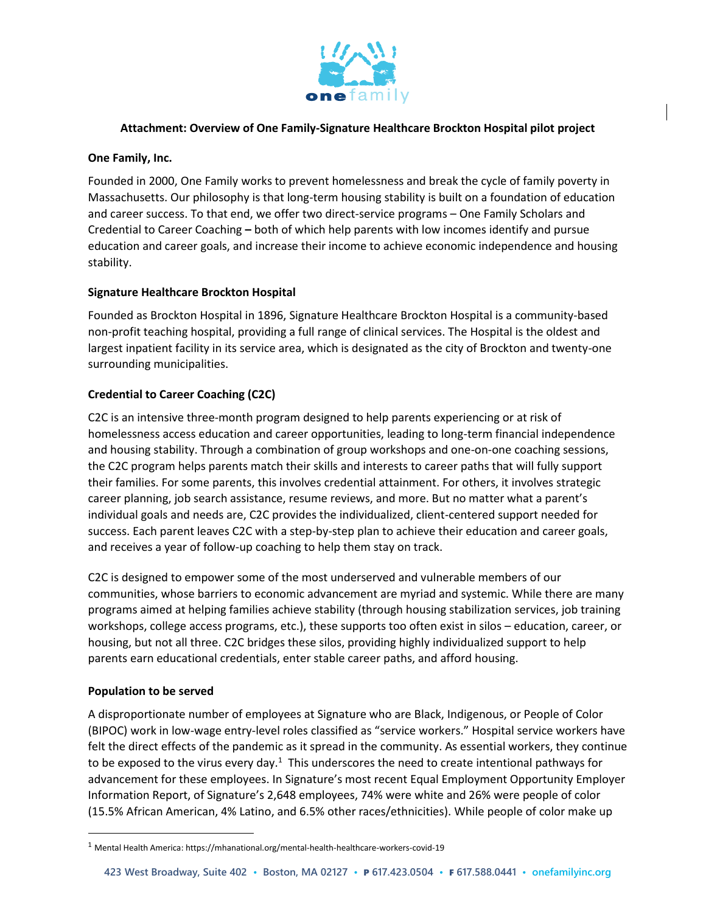

### **Attachment: Overview of One Family-Signature Healthcare Brockton Hospital pilot project**

### **One Family, Inc.**

Founded in 2000, One Family works to prevent homelessness and break the cycle of family poverty in Massachusetts. Our philosophy is that long-term housing stability is built on a foundation of education and career success. To that end, we offer two direct-service programs – One Family Scholars and Credential to Career Coaching **–** both of which help parents with low incomes identify and pursue education and career goals, and increase their income to achieve economic independence and housing stability.

### **Signature Healthcare Brockton Hospital**

Founded as Brockton Hospital in 1896, Signature Healthcare Brockton Hospital is a community-based non-profit teaching hospital, providing a full range of clinical services. The Hospital is the oldest and largest inpatient facility in its service area, which is designated as the city of Brockton and twenty-one surrounding municipalities.

### **Credential to Career Coaching (C2C)**

C2C is an intensive three-month program designed to help parents experiencing or at risk of homelessness access education and career opportunities, leading to long-term financial independence and housing stability. Through a combination of group workshops and one-on-one coaching sessions, the C2C program helps parents match their skills and interests to career paths that will fully support their families. For some parents, this involves credential attainment. For others, it involves strategic career planning, job search assistance, resume reviews, and more. But no matter what a parent's individual goals and needs are, C2C provides the individualized, client-centered support needed for success. Each parent leaves C2C with a step-by-step plan to achieve their education and career goals, and receives a year of follow-up coaching to help them stay on track.

C2C is designed to empower some of the most underserved and vulnerable members of our communities, whose barriers to economic advancement are myriad and systemic. While there are many programs aimed at helping families achieve stability (through housing stabilization services, job training workshops, college access programs, etc.), these supports too often exist in silos – education, career, or housing, but not all three. C2C bridges these silos, providing highly individualized support to help parents earn educational credentials, enter stable career paths, and afford housing.

### **Population to be served**

 $\overline{a}$ 

A disproportionate number of employees at Signature who are Black, Indigenous, or People of Color (BIPOC) work in low-wage entry-level roles classified as "service workers." Hospital service workers have felt the direct effects of the pandemic as it spread in the community. As essential workers, they continue to be exposed to the virus every day.<sup>1</sup> This underscores the need to create intentional pathways for advancement for these employees. In Signature's most recent Equal Employment Opportunity Employer Information Report, of Signature's 2,648 employees, 74% were white and 26% were people of color (15.5% African American, 4% Latino, and 6.5% other races/ethnicities). While people of color make up

<sup>1</sup> Mental Health America: https://mhanational.org/mental-health-healthcare-workers-covid-19